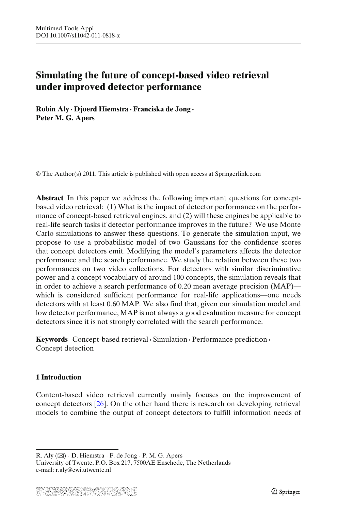# **Simulating the future of concept-based video retrieval under improved detector performance**

**Robin Aly · Djoerd Hiemstra · Franciska de Jong · Peter M. G. Apers**

© The Author(s) 2011. This article is published with open access at Springerlink.com

**Abstract** In this paper we address the following important questions for conceptbased video retrieval: (1) What is the impact of detector performance on the performance of concept-based retrieval engines, and (2) will these engines be applicable to real-life search tasks if detector performance improves in the future? We use Monte Carlo simulations to answer these questions. To generate the simulation input, we propose to use a probabilistic model of two Gaussians for the confidence scores that concept detectors emit. Modifying the model's parameters affects the detector performance and the search performance. We study the relation between these two performances on two video collections. For detectors with similar discriminative power and a concept vocabulary of around 100 concepts, the simulation reveals that in order to achieve a search performance of 0.20 mean average precision (MAP) which is considered sufficient performance for real-life applications—one needs detectors with at least 0.60 MAP. We also find that, given our simulation model and low detector performance, MAP is not always a good evaluation measure for concept detectors since it is not strongly correlated with the search performance.

**Keywords** Concept-based retrieval**·** Simulation **·** Performance prediction **·** Concept detection

# **1 Introduction**

Content-based video retrieval currently mainly focuses on the improvement of concept detectors [\[26](#page-25-0)]. On the other hand there is research on developing retrieval models to combine the output of concept detectors to fulfill information needs of

 $R.$  Aly  $(\boxtimes) \cdot D.$  Hiemstra  $\cdot F.$  de Jong  $\cdot P.$  M. G. Apers

University of Twente, P.O. Box 217, 7500AE Enschede, The Netherlands e-mail: r.aly@ewi.utwente.nl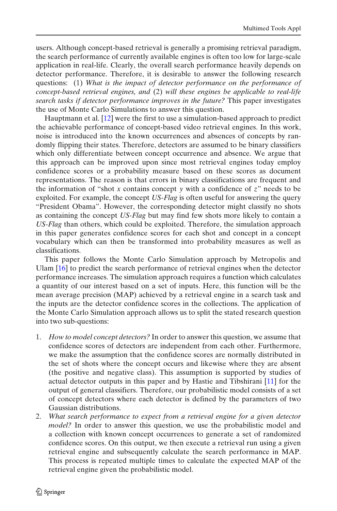users. Although concept-based retrieval is generally a promising retrieval paradigm, the search performance of currently available engines is often too low for large-scale application in real-life. Clearly, the overall search performance heavily depends on detector performance. Therefore, it is desirable to answer the following research questions: (1) *What is the impact of detector performance on the performance of concept-based retrieval engines, and* (2) *will these engines be applicable to real-life search tasks if detector performance improves in the future?* This paper investigates the use of Monte Carlo Simulations to answer this question.

Hauptmann et al. [\[12\]](#page-25-0) were the first to use a simulation-based approach to predict the achievable performance of concept-based video retrieval engines. In this work, noise is introduced into the known occurrences and absences of concepts by randomly flipping their states. Therefore, detectors are assumed to be binary classifiers which only differentiate between concept occurrence and absence. We argue that this approach can be improved upon since most retrieval engines today employ confidence scores or a probability measure based on these scores as document representations. The reason is that errors in binary classifications are frequent and the information of "shot  $x$  contains concept  $y$  with a confidence of  $z$ " needs to be exploited. For example, the concept *US-Flag* is often useful for answering the query "President Obama". However, the corresponding detector might classify no shots as containing the concept *US-Flag* but may find few shots more likely to contain a *US-Flag* than others, which could be exploited. Therefore, the simulation approach in this paper generates confidence scores for each shot and concept in a concept vocabulary which can then be transformed into probability measures as well as classifications.

This paper follows the Monte Carlo Simulation approach by Metropolis and Ulam [\[16](#page-25-0)] to predict the search performance of retrieval engines when the detector performance increases. The simulation approach requires a function which calculates a quantity of our interest based on a set of inputs. Here, this function will be the mean average precision (MAP) achieved by a retrieval engine in a search task and the inputs are the detector confidence scores in the collections. The application of the Monte Carlo Simulation approach allows us to split the stated research question into two sub-questions:

- 1. *How to model concept detectors?* In order to answer this question, we assume that confidence scores of detectors are independent from each other. Furthermore, we make the assumption that the confidence scores are normally distributed in the set of shots where the concept occurs and likewise where they are absent (the positive and negative class). This assumption is supported by studies of actual detector outputs in this paper and by Hastie and Tibshirani [\[11\]](#page-25-0) for the output of general classifiers. Therefore, our probabilistic model consists of a set of concept detectors where each detector is defined by the parameters of two Gaussian distributions.
- 2. *What search performance to expect from a retrieval engine for a given detector model?* In order to answer this question, we use the probabilistic model and a collection with known concept occurrences to generate a set of randomized confidence scores. On this output, we then execute a retrieval run using a given retrieval engine and subsequently calculate the search performance in MAP. This process is repeated multiple times to calculate the expected MAP of the retrieval engine given the probabilistic model.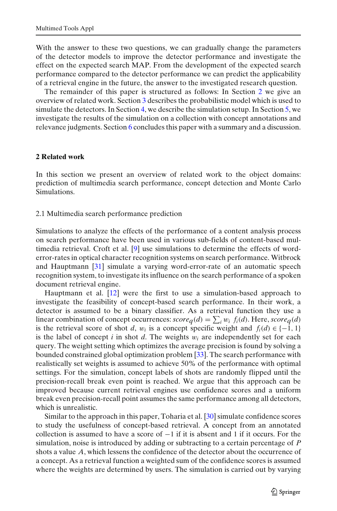With the answer to these two questions, we can gradually change the parameters of the detector models to improve the detector performance and investigate the effect on the expected search MAP. From the development of the expected search performance compared to the detector performance we can predict the applicability of a retrieval engine in the future, the answer to the investigated research question.

The remainder of this paper is structured as follows: In Section 2 we give an overview of related work. Section [3](#page-4-0) describes the probabilistic model which is used to simulate the detectors. In Section [4,](#page-8-0) we describe the simulation setup. In Section [5,](#page-11-0) we investigate the results of the simulation on a collection with concept annotations and relevance judgments. Section [6](#page-22-0) concludes this paper with a summary and a discussion.

#### **2 Related work**

In this section we present an overview of related work to the object domains: prediction of multimedia search performance, concept detection and Monte Carlo Simulations.

2.1 Multimedia search performance prediction

Simulations to analyze the effects of the performance of a content analysis process on search performance have been used in various sub-fields of content-based multimedia retrieval. Croft et al. [\[9](#page-25-0)] use simulations to determine the effects of worderror-rates in optical character recognition systems on search performance. Witbrock and Hauptmann [\[31\]](#page-26-0) simulate a varying word-error-rate of an automatic speech recognition system, to investigate its influence on the search performance of a spoken document retrieval engine.

Hauptmann et al. [\[12](#page-25-0)] were the first to use a simulation-based approach to investigate the feasibility of concept-based search performance. In their work, a detector is assumed to be a binary classifier. As a retrieval function they use a linear combination of concept occurrences:  $score_q(d) = \sum_i w_i f_i(d)$ . Here,  $score_q(d)$ is the retrieval score of shot *d*,  $w_i$  is a concept specific weight and  $f_i(d) \in \{-1, 1\}$ is the label of concept  $i$  in shot  $d$ . The weights  $w_i$  are independently set for each query. The weight setting which optimizes the average precision is found by solving a bounded constrained global optimization problem [\[33\]](#page-26-0). The search performance with realistically set weights is assumed to achieve 50% of the performance with optimal settings. For the simulation, concept labels of shots are randomly flipped until the precision-recall break even point is reached. We argue that this approach can be improved because current retrieval engines use confidence scores and a uniform break even precision-recall point assumes the same performance among all detectors, which is unrealistic.

Similar to the approach in this paper, Toharia et al. [\[30\]](#page-26-0) simulate confidence scores to study the usefulness of concept-based retrieval. A concept from an annotated collection is assumed to have a score of  $-1$  if it is absent and 1 if it occurs. For the simulation, noise is introduced by adding or subtracting to a certain percentage of *P* shots a value *A*, which lessens the confidence of the detector about the occurrence of a concept. As a retrieval function a weighted sum of the confidence scores is assumed where the weights are determined by users. The simulation is carried out by varying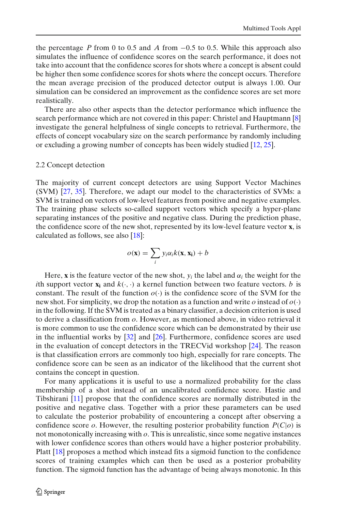the percentage *P* from 0 to 0.5 and *A* from  $-0.5$  to 0.5. While this approach also simulates the influence of confidence scores on the search performance, it does not take into account that the confidence scores for shots where a concept is absent could be higher then some confidence scores for shots where the concept occurs. Therefore the mean average precision of the produced detector output is always 1.00. Our simulation can be considered an improvement as the confidence scores are set more realistically.

There are also other aspects than the detector performance which influence the search performance which are not covered in this paper: Christel and Hauptmann [\[8](#page-24-0)] investigate the general helpfulness of single concepts to retrieval. Furthermore, the effects of concept vocabulary size on the search performance by randomly including or excluding a growing number of concepts has been widely studied [\[12](#page-25-0), [25\]](#page-25-0).

### 2.2 Concept detection

The majority of current concept detectors are using Support Vector Machines (SVM) [\[27](#page-25-0), [35\]](#page-26-0). Therefore, we adapt our model to the characteristics of SVMs: a SVM is trained on vectors of low-level features from positive and negative examples. The training phase selects so-called support vectors which specify a hyper-plane separating instances of the positive and negative class. During the prediction phase, the confidence score of the new shot, represented by its low-level feature vector **x**, is calculated as follows, see also [\[18\]](#page-25-0):

$$
o(\mathbf{x}) = \sum_{i} y_i \alpha_i k(\mathbf{x}, \mathbf{x_i}) + b
$$

Here, **x** is the feature vector of the new shot,  $y_i$  the label and  $\alpha_i$  the weight for the *i*th support vector  $\mathbf{x}_i$  and  $k(\cdot, \cdot)$  a kernel function between two feature vectors. *b* is constant. The result of the function  $o(\cdot)$  is the confidence score of the SVM for the new shot. For simplicity, we drop the notation as a function and write *o* instead of  $o(\cdot)$ in the following. If the SVM is treated as a binary classifier, a decision criterion is used to derive a classification from *o*. However, as mentioned above, in video retrieval it is more common to use the confidence score which can be demonstrated by their use in the influential works by  $[32]$  $[32]$  and  $[26]$  $[26]$ . Furthermore, confidence scores are used in the evaluation of concept detectors in the TRECVid workshop [\[24](#page-25-0)]. The reason is that classification errors are commonly too high, especially for rare concepts. The confidence score can be seen as an indicator of the likelihood that the current shot contains the concept in question.

For many applications it is useful to use a normalized probability for the class membership of a shot instead of an uncalibrated confidence score. Hastie and Tibshirani [\[11](#page-25-0)] propose that the confidence scores are normally distributed in the positive and negative class. Together with a prior these parameters can be used to calculate the posterior probability of encountering a concept after observing a confidence score *o*. However, the resulting posterior probability function  $P(C|o)$  is not monotonically increasing with *o*. This is unrealistic, since some negative instances with lower confidence scores than others would have a higher posterior probability. Platt [\[18](#page-25-0)] proposes a method which instead fits a sigmoid function to the confidence scores of training examples which can then be used as a posterior probability function. The sigmoid function has the advantage of being always monotonic. In this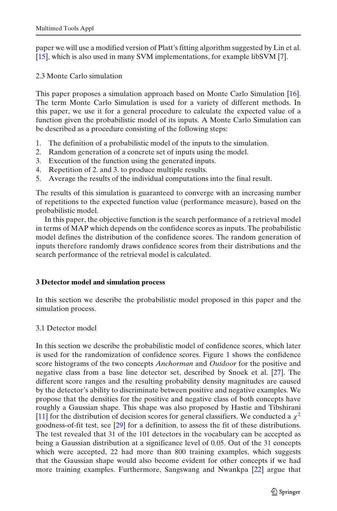<span id="page-4-0"></span>paper we will use a modified version of Platt's fitting algorithm suggested by Lin et al. [\[15](#page-25-0)], which is also used in many SVM implementations, for example libSVM [\[7](#page-24-0)].

# 2.3 Monte Carlo simulation

This paper proposes a simulation approach based on Monte Carlo Simulation [\[16](#page-25-0)]. The term Monte Carlo Simulation is used for a variety of different methods. In this paper, we use it for a general procedure to calculate the expected value of a function given the probabilistic model of its inputs. A Monte Carlo Simulation can be described as a procedure consisting of the following steps:

- 1. The definition of a probabilistic model of the inputs to the simulation.
- 2. Random generation of a concrete set of inputs using the model.
- 3. Execution of the function using the generated inputs.
- 4. Repetition of 2. and 3. to produce multiple results.
- 5. Average the results of the individual computations into the final result.

The results of this simulation is guaranteed to converge with an increasing number of repetitions to the expected function value (performance measure), based on the probabilistic model.

In this paper, the objective function is the search performance of a retrieval model in terms of MAP which depends on the confidence scores as inputs. The probabilistic model defines the distribution of the confidence scores. The random generation of inputs therefore randomly draws confidence scores from their distributions and the search performance of the retrieval model is calculated.

## **3 Detector model and simulation process**

In this section we describe the probabilistic model proposed in this paper and the simulation process.

## 3.1 Detector model

In this section we describe the probabilistic model of confidence scores, which later is used for the randomization of confidence scores. Figure [1](#page-5-0) shows the confidence score histograms of the two concepts *Anchorman* and *Outdoor* for the positive and negative class from a base line detector set, described by Snoek et al. [\[27\]](#page-25-0). The different score ranges and the resulting probability density magnitudes are caused by the detector's ability to discriminate between positive and negative examples. We propose that the densities for the positive and negative class of both concepts have roughly a Gaussian shape. This shape was also proposed by Hastie and Tibshirani [\[11](#page-25-0)] for the distribution of decision scores for general classifiers. We conducted a  $\chi^2$ goodness-of-fit test, see [\[29\]](#page-25-0) for a definition, to assess the fit of these distributions. The test revealed that 31 of the 101 detectors in the vocabulary can be accepted as being a Gaussian distribution at a significance level of 0.05. Out of the 31 concepts which were accepted, 22 had more than 800 training examples, which suggests that the Gaussian shape would also become evident for other concepts if we had more training examples. Furthermore, Sangswang and Nwankpa [\[22](#page-25-0)] argue that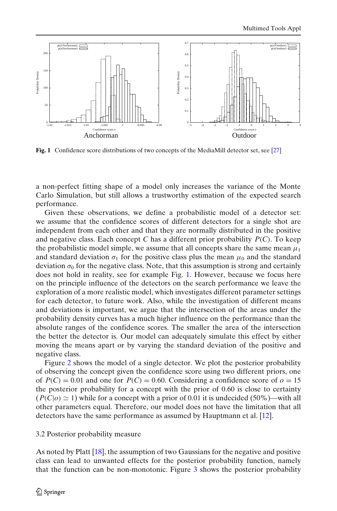<span id="page-5-0"></span>

**Fig. 1** Confidence score distributions of two concepts of the MediaMill detector set, see [\[27](#page-25-0)]

a non-perfect fitting shape of a model only increases the variance of the Monte Carlo Simulation, but still allows a trustworthy estimation of the expected search performance.

Given these observations, we define a probabilistic model of a detector set: we assume that the confidence scores of different detectors for a single shot are independent from each other and that they are normally distributed in the positive and negative class. Each concept *C* has a different prior probability *P*(*C*). To keep the probabilistic model simple, we assume that all concepts share the same mean  $\mu_1$ and standard deviation  $\sigma_1$  for the positive class plus the mean  $\mu_0$  and the standard deviation  $\sigma_0$  for the negative class. Note, that this assumption is strong and certainly does not hold in reality, see for example Fig. 1. However, because we focus here on the principle influence of the detectors on the search performance we leave the exploration of a more realistic model, which investigates different parameter settings for each detector, to future work. Also, while the investigation of different means and deviations is important, we argue that the intersection of the areas under the probability density curves has a much higher influence on the performance than the absolute ranges of the confidence scores. The smaller the area of the intersection the better the detector is. Our model can adequately simulate this effect by either moving the means apart or by varying the standard deviation of the positive and negative class.

Figure [2](#page-6-0) shows the model of a single detector. We plot the posterior probability of observing the concept given the confidence score using two different priors, one of  $P(C) = 0.01$  and one for  $P(C) = 0.60$ . Considering a confidence score of  $o = 15$ the posterior probability for a concept with the prior of 0.60 is close to certainty  $(P(C|o) \simeq 1)$  while for a concept with a prior of 0.01 it is undecided (50%)—with all other parameters equal. Therefore, our model does not have the limitation that all detectors have the same performance as assumed by Hauptmann et al. [\[12](#page-25-0)].

### 3.2 Posterior probability measure

As noted by Platt [\[18\]](#page-25-0), the assumption of two Gaussians for the negative and positive class can lead to unwanted effects for the posterior probability function, namely that the function can be non-monotonic. Figure  $3$  shows the posterior probability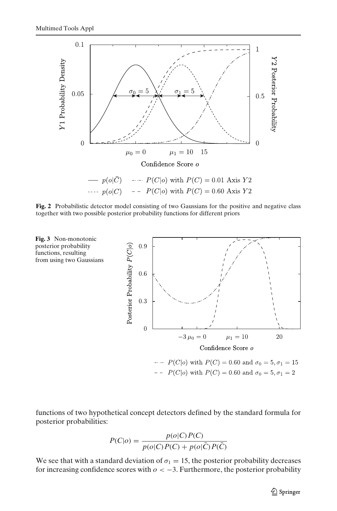<span id="page-6-0"></span>

**Fig. 2** Probabilistic detector model consisting of two Gaussians for the positive and negative class together with two possible posterior probability functions for different priors



functions of two hypothetical concept detectors defined by the standard formula for posterior probabilities:

$$
P(C|o) = \frac{p(o|C)P(C)}{p(o|C)P(C) + p(o|\overline{C})P(\overline{C})}
$$

We see that with a standard deviation of  $\sigma_1 = 15$ , the posterior probability decreases for increasing confidence scores with *o* < −3. Furthermore, the posterior probability

 $\mathcal{D}$  Springer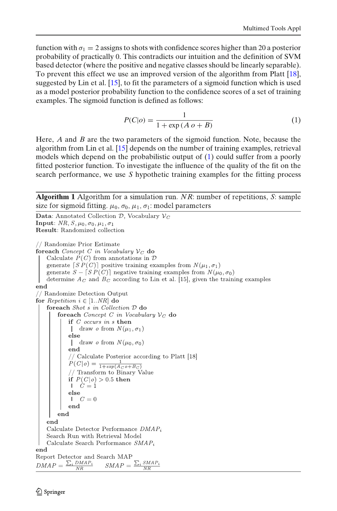function with  $\sigma_1 = 2$  assigns to shots with confidence scores higher than 20 a posterior probability of practically 0. This contradicts our intuition and the definition of SVM based detector (where the positive and negative classes should be linearly separable). To prevent this effect we use an improved version of the algorithm from Platt [\[18](#page-25-0)], suggested by Lin et al.  $[15]$ , to fit the parameters of a sigmoid function which is used as a model posterior probability function to the confidence scores of a set of training examples. The sigmoid function is defined as follows:

$$
P(C|o) = \frac{1}{1 + \exp(A o + B)}
$$
\n<sup>(1)</sup>

Here, *A* and *B* are the two parameters of the sigmoid function. Note, because the algorithm from Lin et al. [\[15\]](#page-25-0) depends on the number of training examples, retrieval models which depend on the probabilistic output of (1) could suffer from a poorly fitted posterior function. To investigate the influence of the quality of the fit on the search performance, we use *S* hypothetic training examples for the fitting process

**Algorithm 1** Algorithm for a simulation run.  $NR$ : number of repetitions, S: sample size for sigmoid fitting.  $\mu_0$ ,  $\sigma_0$ ,  $\mu_1$ ,  $\sigma_1$ : model parameters

```
Data: Annotated Collection \mathcal{D}, Vocabulary \mathcal{V}_CInput: NR, S, \mu_0, \sigma_0, \mu_1, \sigma_1Result: Randomized collection
// Randomize Prior Estimate
foreach Concept C in Vocabulary \mathcal{V}_C do
    Calculate \overline{P}(C) from annotations in \mathcal Dgenerate \lceil S \widetilde{P}(C) \rceil positive training examples from N(\mu_1, \sigma_1)<br>generate S - \lceil S \widetilde{P}(C) \rceil negative training examples from N(\mu_0, \sigma_0)determine A_C and B_C according to Lin et al. [15], given the training examples
end
// Randomize Detection Output
for Repetition i \in [1..NR] do
    foreach Shot s in Collection D do
         foreach Concept C in Vocabulary \mathcal{V}_C do
              if C occurs in s then
              | draw o from N(\mu_1, \sigma_1)else
              \int draw o from N(\mu_0, \sigma_0)end
              // Calculate Posterior according to Platt [18]
              P(C|o) = \frac{1}{1 + exp(A_C o + B_C)}// Transform to Binary Value
              if P(C|o) > 0.5 then
              \vec{l} \vec{C} = 1
              _{\rm else}C=0end
         end
    end
    Calculate Detector Performance DMAP_iSearch Run with Retrieval Model
    Calculate Search Performance SMAP_iend
Report Detector and Search MAP
                             SMAP = \frac{\sum_{i} SMAP_i}{NP}\overline{DMAP} = \frac{\sum_{i} DMAP_i}{MP}NRNR
```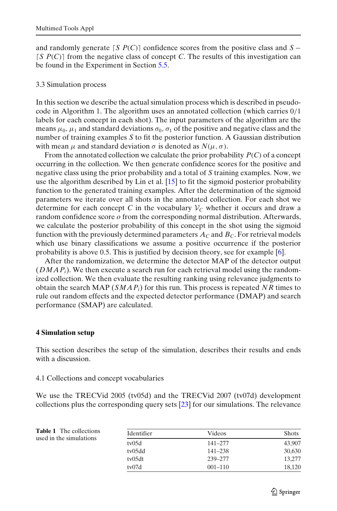<span id="page-8-0"></span>and randomly generate *[S P(C)*] confidence scores from the positive class and  $S -$ *S P*(*C*) from the negative class of concept *C*. The results of this investigation can be found in the Experiment in Section [5.5.](#page-16-0)

#### 3.3 Simulation process

In this section we describe the actual simulation process which is described in pseudocode in Algorithm 1. The algorithm uses an annotated collection (which carries 0/1 labels for each concept in each shot). The input parameters of the algorithm are the means  $\mu_0$ ,  $\mu_1$  and standard deviations  $\sigma_0$ ,  $\sigma_1$  of the positive and negative class and the number of training examples *S* to fit the posterior function. A Gaussian distribution with mean  $\mu$  and standard deviation  $\sigma$  is denoted as  $N(\mu, \sigma)$ .

From the annotated collection we calculate the prior probability *P*(*C*) of a concept occurring in the collection. We then generate confidence scores for the positive and negative class using the prior probability and a total of *S* training examples. Now, we use the algorithm described by Lin et al. [\[15](#page-25-0)] to fit the sigmoid posterior probability function to the generated training examples. After the determination of the sigmoid parameters we iterate over all shots in the annotated collection. For each shot we determine for each concept C in the vocabulary  $V_C$  whether it occurs and draw a random confidence score *o* from the corresponding normal distribution. Afterwards, we calculate the posterior probability of this concept in the shot using the sigmoid function with the previously determined parameters  $A_C$  and  $B_C$ . For retrieval models which use binary classifications we assume a positive occurrence if the posterior probability is above 0.5. This is justified by decision theory, see for example [\[6](#page-24-0)].

After the randomization, we determine the detector MAP of the detector output  $(DMAP<sub>i</sub>)$ . We then execute a search run for each retrieval model using the randomized collection. We then evaluate the resulting ranking using relevance judgments to obtain the search MAP (*SMAPi*) for this run. This process is repeated *NR* times to rule out random effects and the expected detector performance (DMAP) and search performance (SMAP) are calculated.

### **4 Simulation setup**

This section describes the setup of the simulation, describes their results and ends with a discussion.

### 4.1 Collections and concept vocabularies

We use the TRECVid 2005 (tv05d) and the TRECVid 2007 (tv07d) development collections plus the corresponding query sets [\[23\]](#page-25-0) for our simulations. The relevance

| <b>Table 1</b> The collections<br>used in the simulations | Identifier | Videos      | <b>Shots</b> |
|-----------------------------------------------------------|------------|-------------|--------------|
|                                                           | tv05d      | 141-277     | 43,907       |
|                                                           | tv05dd     | 141–238     | 30,630       |
|                                                           | tv05dt     | 239-277     | 13.277       |
|                                                           | ty07d      | $001 - 110$ | 18,120       |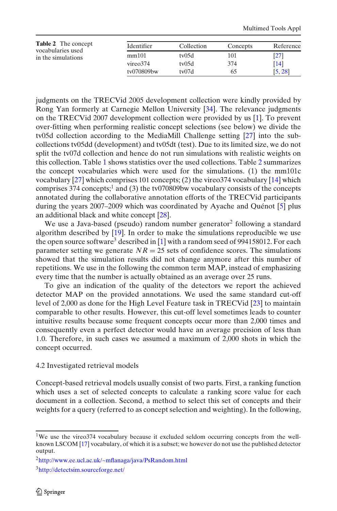| <b>Table 2</b> The concept<br>vocabularies used<br>in the simulations | Identifier | Collection | Concepts | Reference |
|-----------------------------------------------------------------------|------------|------------|----------|-----------|
|                                                                       | mm101      | tv05d      | 101      | [27]      |
|                                                                       | vireo374   | tv05d      | 374      | [14]      |
|                                                                       | ty070809bw | tv07d      | 65       | [5, 28]   |

judgments on the TRECVid 2005 development collection were kindly provided by Rong Yan formerly at Carnegie Mellon University [\[34\]](#page-26-0). The relevance judgments on the TRECVid 2007 development collection were provided by us [\[1](#page-24-0)]. To prevent over-fitting when performing realistic concept selections (see below) we divide the tv05d collection according to the MediaMill Challenge setting [\[27\]](#page-25-0) into the subcollections tv05dd (development) and tv05dt (test). Due to its limited size, we do not split the tv07d collection and hence do not run simulations with realistic weights on this collection. Table [1](#page-8-0) shows statistics over the used collections. Table 2 summarizes the concept vocabularies which were used for the simulations. (1) the mm101c vocabulary [\[27\]](#page-25-0) which comprises 101 concepts; (2) the vireo374 vocabulary [\[14](#page-25-0)] which comprises 374 concepts;<sup>1</sup> and (3) the tv070809bw vocabulary consists of the concepts annotated during the collaborative annotation efforts of the TRECVid participants during the years 2007–2009 which was coordinated by Ayache and Quénot [\[5\]](#page-24-0) plus an additional black and white concept [\[28\]](#page-25-0).

We use a Java-based (pseudo) random number generator<sup>2</sup> following a standard algorithm described by [\[19](#page-25-0)]. In order to make the simulations reproducible we use the open source software<sup>3</sup> described in [\[1](#page-24-0)] with a random seed of 994158012. For each parameter setting we generate  $NR = 25$  sets of confidence scores. The simulations showed that the simulation results did not change anymore after this number of repetitions. We use in the following the common term MAP, instead of emphasizing every time that the number is actually obtained as an average over 25 runs.

To give an indication of the quality of the detectors we report the achieved detector MAP on the provided annotations. We used the same standard cut-off level of 2,000 as done for the High Level Feature task in TRECVid [\[23\]](#page-25-0) to maintain comparable to other results. However, this cut-off level sometimes leads to counter intuitive results because some frequent concepts occur more than 2,000 times and consequently even a perfect detector would have an average precision of less than 1.0. Therefore, in such cases we assumed a maximum of 2,000 shots in which the concept occurred.

### 4.2 Investigated retrieval models

Concept-based retrieval models usually consist of two parts. First, a ranking function which uses a set of selected concepts to calculate a ranking score value for each document in a collection. Second, a method to select this set of concepts and their weights for a query (referred to as concept selection and weighting). In the following,

<sup>&</sup>lt;sup>1</sup>We use the vireo374 vocabulary because it excluded seldom occurring concepts from the wellknown LSCOM [\[17](#page-25-0)] vocabulary, of which it is a subset; we however do not use the published detector output.

[<sup>2</sup>http://www.ee.ucl.ac.uk/~mflanaga/java/PsRandom.html](http://www.ee.ucl.ac.uk/~mflanaga/java/PsRandom.html)

[<sup>3</sup>http://detectsim.sourceforge.net/](http://detectsim.sourceforge.net/)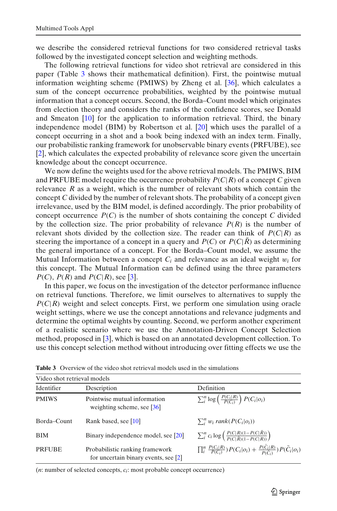we describe the considered retrieval functions for two considered retrieval tasks followed by the investigated concept selection and weighting methods.

The following retrieval functions for video shot retrieval are considered in this paper (Table 3 shows their mathematical definition). First, the pointwise mutual information weighting scheme (PMIWS) by Zheng et al. [\[36](#page-26-0)], which calculates a sum of the concept occurrence probabilities, weighted by the pointwise mutual information that a concept occurs. Second, the Borda–Count model which originates from election theory and considers the ranks of the confidence scores, see Donald and Smeaton [\[10\]](#page-25-0) for the application to information retrieval. Third, the binary independence model (BIM) by Robertson et al. [\[20\]](#page-25-0) which uses the parallel of a concept occurring in a shot and a book being indexed with an index term. Finally, our probabilistic ranking framework for unobservable binary events (PRFUBE), see [\[2\]](#page-24-0), which calculates the expected probability of relevance score given the uncertain knowledge about the concept occurrence.

We now define the weights used for the above retrieval models. The PMIWS, BIM and PRFUBE model require the occurrence probability  $P(C|R)$  of a concept  $C$  given relevance  $R$  as a weight, which is the number of relevant shots which contain the concept *C* divided by the number of relevant shots. The probability of a concept given irrelevance, used by the BIM model, is defined accordingly. The prior probability of concept occurrence  $P(C)$  is the number of shots containing the concept C divided by the collection size. The prior probability of relevance  $P(R)$  is the number of relevant shots divided by the collection size. The reader can think of  $P(C|R)$  as steering the importance of a concept in a query and  $P(C)$  or  $P(C|\overline{R})$  as determining the general importance of a concept. For the Borda–Count model, we assume the Mutual Information between a concept  $C_i$  and relevance as an ideal weight  $w_i$  for this concept. The Mutual Information can be defined using the three parameters  $P(C)$ ,  $P(R)$  and  $P(C|R)$ , see [\[3](#page-24-0)].

In this paper, we focus on the investigation of the detector performance influence on retrieval functions. Therefore, we limit ourselves to alternatives to supply the *P*(*C*|*R*) weight and select concepts. First, we perform one simulation using oracle weight settings, where we use the concept annotations and relevance judgments and determine the optimal weights by counting. Second, we perform another experiment of a realistic scenario where we use the Annotation-Driven Concept Selection method, proposed in [\[3](#page-24-0)], which is based on an annotated development collection. To use this concept selection method without introducing over fitting effects we use the

| Video shot retrieval models |                                                                          |                                                                                                                 |  |  |  |
|-----------------------------|--------------------------------------------------------------------------|-----------------------------------------------------------------------------------------------------------------|--|--|--|
| Identifier                  | Description                                                              | Definition                                                                                                      |  |  |  |
| <b>PMIWS</b>                | Pointwise mutual information<br>weighting scheme, see $\lceil 36 \rceil$ | $\sum_i^n \log \left( \frac{P(C_i R)}{P(C_i)} \right) P(C_i o_i)$                                               |  |  |  |
| Borda–Count                 | Rank based, see [10]                                                     | $\sum_{i}^{n} w_i$ rank $(P(C_i o_i))$                                                                          |  |  |  |
| <b>BIM</b>                  | Binary independence model, see [20]                                      | $\sum_{i}^{n} c_i \log \left( \frac{P(C R)(1-P(C R))}{P(C \overline{R})(1-P(C R))} \right)$                     |  |  |  |
| <b>PRFUBE</b>               | Probabilistic ranking framework<br>for uncertain binary events, see [2]  | $\prod_{i}^{n} \frac{P(C_i R)}{P(C_i)} P(C_i o_i) + \frac{P(\tilde{C}_i R)}{P(\tilde{C}_i)} P(\tilde{C}_i o_i)$ |  |  |  |

**Table 3** Overview of the video shot retrieval models used in the simulations

(*n*: number of selected concepts, *ci*: most probable concept occurrence)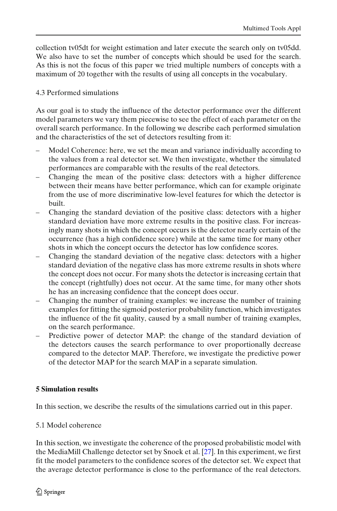<span id="page-11-0"></span>collection tv05dt for weight estimation and later execute the search only on tv05dd. We also have to set the number of concepts which should be used for the search. As this is not the focus of this paper we tried multiple numbers of concepts with a maximum of 20 together with the results of using all concepts in the vocabulary.

# 4.3 Performed simulations

As our goal is to study the influence of the detector performance over the different model parameters we vary them piecewise to see the effect of each parameter on the overall search performance. In the following we describe each performed simulation and the characteristics of the set of detectors resulting from it:

- Model Coherence: here, we set the mean and variance individually according to the values from a real detector set. We then investigate, whether the simulated performances are comparable with the results of the real detectors.
- Changing the mean of the positive class: detectors with a higher difference between their means have better performance, which can for example originate from the use of more discriminative low-level features for which the detector is built.
- Changing the standard deviation of the positive class: detectors with a higher standard deviation have more extreme results in the positive class. For increasingly many shots in which the concept occurs is the detector nearly certain of the occurrence (has a high confidence score) while at the same time for many other shots in which the concept occurs the detector has low confidence scores.
- Changing the standard deviation of the negative class: detectors with a higher standard deviation of the negative class has more extreme results in shots where the concept does not occur. For many shots the detector is increasing certain that the concept (rightfully) does not occur. At the same time, for many other shots he has an increasing confidence that the concept does occur.
- Changing the number of training examples: we increase the number of training examples for fitting the sigmoid posterior probability function, which investigates the influence of the fit quality, caused by a small number of training examples, on the search performance.
- Predictive power of detector MAP: the change of the standard deviation of the detectors causes the search performance to over proportionally decrease compared to the detector MAP. Therefore, we investigate the predictive power of the detector MAP for the search MAP in a separate simulation.

## **5 Simulation results**

In this section, we describe the results of the simulations carried out in this paper.

# 5.1 Model coherence

In this section, we investigate the coherence of the proposed probabilistic model with the MediaMill Challenge detector set by Snoek et al. [\[27\]](#page-25-0). In this experiment, we first fit the model parameters to the confidence scores of the detector set. We expect that the average detector performance is close to the performance of the real detectors.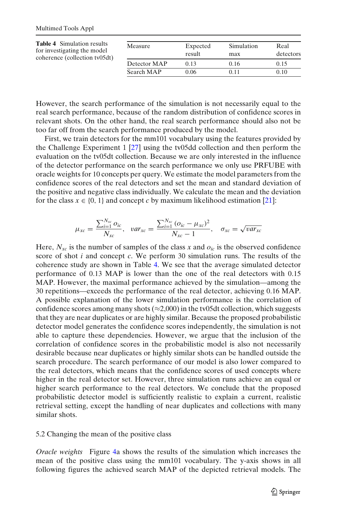| <b>Table 4</b> Simulation results<br>for investigating the model<br>coherence (collection tv05dt) | Measure      | Expected<br>result | Simulation<br>max | Real<br>detectors |
|---------------------------------------------------------------------------------------------------|--------------|--------------------|-------------------|-------------------|
|                                                                                                   | Detector MAP | 0.13               | 0.16              | 0.15              |
|                                                                                                   | Search MAP   | 0.06               | 0.11              | 0.10              |

However, the search performance of the simulation is not necessarily equal to the real search performance, because of the random distribution of confidence scores in relevant shots. On the other hand, the real search performance should also not be too far off from the search performance produced by the model.

First, we train detectors for the mm101 vocabulary using the features provided by the Challenge Experiment 1 [\[27\]](#page-25-0) using the tv05dd collection and then perform the evaluation on the tv05dt collection. Because we are only interested in the influence of the detector performance on the search performance we only use PRFUBE with oracle weights for 10 concepts per query. We estimate the model parameters from the confidence scores of the real detectors and set the mean and standard deviation of the positive and negative class individually. We calculate the mean and the deviation for the class  $x \in \{0, 1\}$  and concept *c* by maximum likelihood estimation [\[21](#page-25-0)]:

$$
\mu_{xc} = \frac{\sum_{i=1}^{N_{xc}} o_{ic}}{N_{xc}}, \quad var_{xc} = \frac{\sum_{i=1}^{N_{xc}} (o_{ic} - \mu_{xc})^2}{N_{xc} - 1}, \quad \sigma_{xc} = \sqrt{var_{xc}}
$$

Here,  $N_{xc}$  is the number of samples of the class x and  $o_{ic}$  is the observed confidence score of shot *i* and concept *c*. We perform 30 simulation runs. The results of the coherence study are shown in Table 4. We see that the average simulated detector performance of 0.13 MAP is lower than the one of the real detectors with 0.15 MAP. However, the maximal performance achieved by the simulation—among the 30 repetitions—exceeds the performance of the real detector, achieving 0.16 MAP. A possible explanation of the lower simulation performance is the correlation of confidence scores among many shots ( $\approx$ 2,000) in the tv05dt collection, which suggests that they are near duplicates or are highly similar. Because the proposed probabilistic detector model generates the confidence scores independently, the simulation is not able to capture these dependencies. However, we argue that the inclusion of the correlation of confidence scores in the probabilistic model is also not necessarily desirable because near duplicates or highly similar shots can be handled outside the search procedure. The search performance of our model is also lower compared to the real detectors, which means that the confidence scores of used concepts where higher in the real detector set. However, three simulation runs achieve an equal or higher search performance to the real detectors. We conclude that the proposed probabilistic detector model is sufficiently realistic to explain a current, realistic retrieval setting, except the handling of near duplicates and collections with many similar shots.

5.2 Changing the mean of the positive class

*Oracle weights* Figure [4a](#page-13-0) shows the results of the simulation which increases the mean of the positive class using the mm101 vocabulary. The y-axis shows in all following figures the achieved search MAP of the depicted retrieval models. The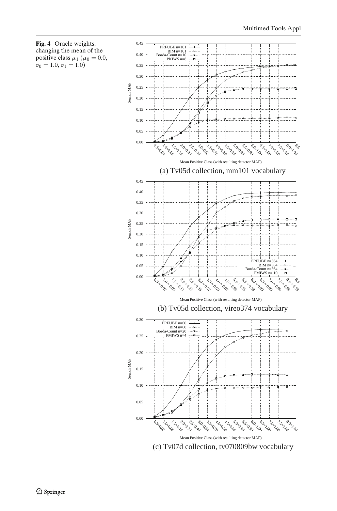

<span id="page-13-0"></span>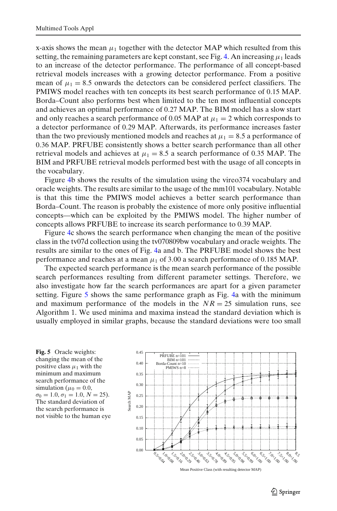x-axis shows the mean  $\mu_1$  together with the detector MAP which resulted from this setting, the remaining parameters are kept constant, see Fig. [4.](#page-13-0) An increasing  $\mu_1$  leads to an increase of the detector performance. The performance of all concept-based retrieval models increases with a growing detector performance. From a positive mean of  $\mu_1 = 8.5$  onwards the detectors can be considered perfect classifiers. The PMIWS model reaches with ten concepts its best search performance of 0.15 MAP. Borda–Count also performs best when limited to the ten most influential concepts and achieves an optimal performance of 0.27 MAP. The BIM model has a slow start and only reaches a search performance of 0.05 MAP at  $\mu_1 = 2$  which corresponds to a detector performance of 0.29 MAP. Afterwards, its performance increases faster than the two previously mentioned models and reaches at  $\mu_1 = 8.5$  a performance of 0.36 MAP. PRFUBE consistently shows a better search performance than all other retrieval models and achieves at  $\mu_1 = 8.5$  a search performance of 0.35 MAP. The BIM and PRFUBE retrieval models performed best with the usage of all concepts in the vocabulary.

Figure [4b](#page-13-0) shows the results of the simulation using the vireo374 vocabulary and oracle weights. The results are similar to the usage of the mm101 vocabulary. Notable is that this time the PMIWS model achieves a better search performance than Borda–Count. The reason is probably the existence of more only positive influential concepts—which can be exploited by the PMIWS model. The higher number of concepts allows PRFUBE to increase its search performance to 0.39 MAP.

Figure [4c](#page-13-0) shows the search performance when changing the mean of the positive class in the tv07d collection using the tv070809bw vocabulary and oracle weights. The results are similar to the ones of Fig. [4a](#page-13-0) and b. The PRFUBE model shows the best performance and reaches at a mean  $\mu_1$  of 3.00 a search performance of 0.185 MAP.

The expected search performance is the mean search performance of the possible search performances resulting from different parameter settings. Therefore, we also investigate how far the search performances are apart for a given parameter setting. Figure 5 shows the same performance graph as Fig. [4a](#page-13-0) with the minimum and maximum performance of the models in the  $NR = 25$  simulation runs, see Algorithm 1. We used minima and maxima instead the standard deviation which is usually employed in similar graphs, because the standard deviations were too small





Mean Positive Class (with resulting detector MAP)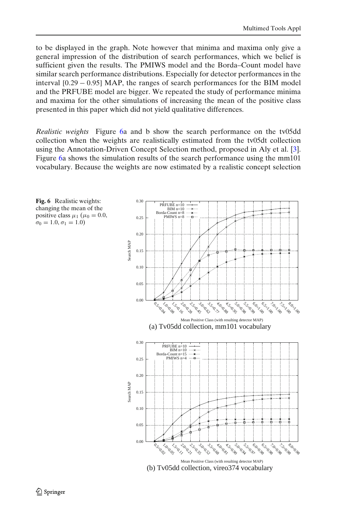<span id="page-15-0"></span>to be displayed in the graph. Note however that minima and maxima only give a general impression of the distribution of search performances, which we belief is sufficient given the results. The PMIWS model and the Borda–Count model have similar search performance distributions. Especially for detector performances in the interval  $[0.29 - 0.95]$  MAP, the ranges of search performances for the BIM model and the PRFUBE model are bigger. We repeated the study of performance minima and maxima for the other simulations of increasing the mean of the positive class presented in this paper which did not yield qualitative differences.

*Realistic weights* Figure 6a and b show the search performance on the tv05dd collection when the weights are realistically estimated from the tv05dt collection using the Annotation-Driven Concept Selection method, proposed in Aly et al. [\[3](#page-24-0)]. Figure 6a shows the simulation results of the search performance using the mm101 vocabulary. Because the weights are now estimated by a realistic concept selection



(b) Tv05dd collection, vireo374 vocabulary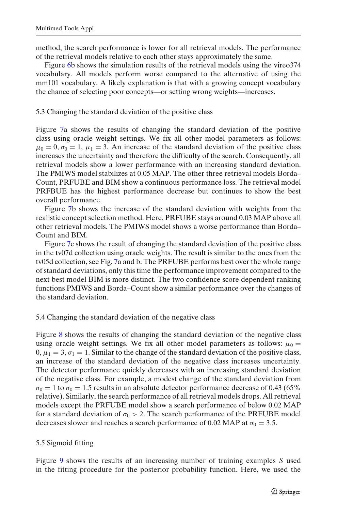<span id="page-16-0"></span>method, the search performance is lower for all retrieval models. The performance of the retrieval models relative to each other stays approximately the same.

Figure [6b](#page-15-0) shows the simulation results of the retrieval models using the vireo374 vocabulary. All models perform worse compared to the alternative of using the mm101 vocabulary. A likely explanation is that with a growing concept vocabulary the chance of selecting poor concepts—or setting wrong weights—increases.

# 5.3 Changing the standard deviation of the positive class

Figure [7a](#page-17-0) shows the results of changing the standard deviation of the positive class using oracle weight settings. We fix all other model parameters as follows:  $\mu_0 = 0$ ,  $\sigma_0 = 1$ ,  $\mu_1 = 3$ . An increase of the standard deviation of the positive class increases the uncertainty and therefore the difficulty of the search. Consequently, all retrieval models show a lower performance with an increasing standard deviation. The PMIWS model stabilizes at 0.05 MAP. The other three retrieval models Borda– Count, PRFUBE and BIM show a continuous performance loss. The retrieval model PRFBUE has the highest performance decrease but continues to show the best overall performance.

Figure [7b](#page-17-0) shows the increase of the standard deviation with weights from the realistic concept selection method. Here, PRFUBE stays around 0.03 MAP above all other retrieval models. The PMIWS model shows a worse performance than Borda– Count and BIM.

Figure [7c](#page-17-0) shows the result of changing the standard deviation of the positive class in the tv07d collection using oracle weights. The result is similar to the ones from the tv05d collection, see Fig. [7a](#page-17-0) and b. The PRFUBE performs best over the whole range of standard deviations, only this time the performance improvement compared to the next best model BIM is more distinct. The two confidence score dependent ranking functions PMIWS and Borda–Count show a similar performance over the changes of the standard deviation.

## 5.4 Changing the standard deviation of the negative class

Figure [8](#page-18-0) shows the results of changing the standard deviation of the negative class using oracle weight settings. We fix all other model parameters as follows:  $\mu_0 =$  $0, \mu_1 = 3, \sigma_1 = 1$ . Similar to the change of the standard deviation of the positive class, an increase of the standard deviation of the negative class increases uncertainty. The detector performance quickly decreases with an increasing standard deviation of the negative class. For example, a modest change of the standard deviation from  $\sigma_0 = 1$  to  $\sigma_0 = 1.5$  results in an absolute detector performance decrease of 0.43 (65%) relative). Similarly, the search performance of all retrieval models drops. All retrieval models except the PRFUBE model show a search performance of below 0.02 MAP for a standard deviation of  $\sigma_0 > 2$ . The search performance of the PRFUBE model decreases slower and reaches a search performance of 0.02 MAP at  $\sigma_0 = 3.5$ .

# 5.5 Sigmoid fitting

Figure [9](#page-18-0) shows the results of an increasing number of training examples *S* used in the fitting procedure for the posterior probability function. Here, we used the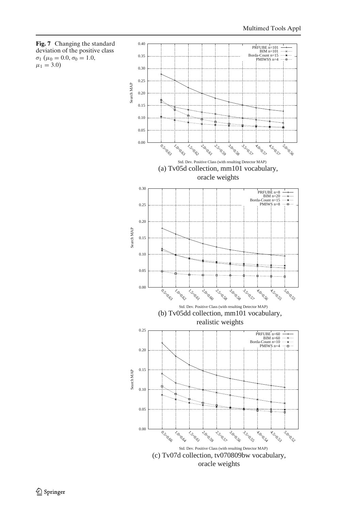

<span id="page-17-0"></span>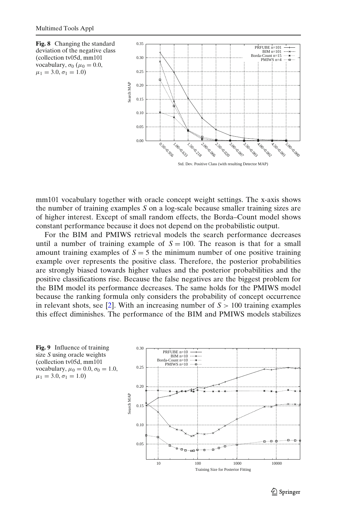<span id="page-18-0"></span>

mm101 vocabulary together with oracle concept weight settings. The x-axis shows the number of training examples *S* on a log-scale because smaller training sizes are of higher interest. Except of small random effects, the Borda–Count model shows constant performance because it does not depend on the probabilistic output.

For the BIM and PMIWS retrieval models the search performance decreases until a number of training example of  $S = 100$ . The reason is that for a small amount training examples of  $S = 5$  the minimum number of one positive training example over represents the positive class. Therefore, the posterior probabilities are strongly biased towards higher values and the posterior probabilities and the positive classifications rise. Because the false negatives are the biggest problem for the BIM model its performance decreases. The same holds for the PMIWS model because the ranking formula only considers the probability of concept occurrence in relevant shots, see [\[2\]](#page-24-0). With an increasing number of  $S > 100$  training examples this effect diminishes. The performance of the BIM and PMIWS models stabilizes



 $\mathcal{D}$  Springer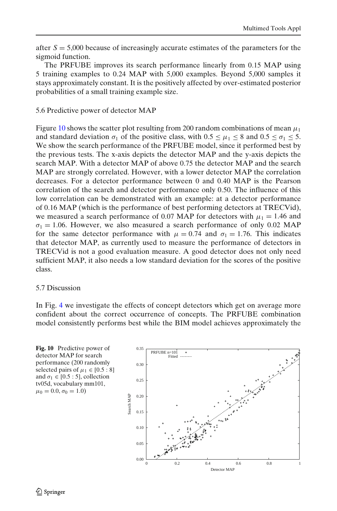<span id="page-19-0"></span>after  $S = 5,000$  because of increasingly accurate estimates of the parameters for the sigmoid function.

The PRFUBE improves its search performance linearly from 0.15 MAP using 5 training examples to 0.24 MAP with 5,000 examples. Beyond 5,000 samples it stays approximately constant. It is the positively affected by over-estimated posterior probabilities of a small training example size.

### 5.6 Predictive power of detector MAP

Figure 10 shows the scatter plot resulting from 200 random combinations of mean  $\mu_1$ and standard deviation  $\sigma_1$  of the positive class, with  $0.5 \leq \mu_1 \leq 8$  and  $0.5 \leq \sigma_1 \leq 5$ . We show the search performance of the PRFUBE model, since it performed best by the previous tests. The x-axis depicts the detector MAP and the y-axis depicts the search MAP. With a detector MAP of above 0.75 the detector MAP and the search MAP are strongly correlated. However, with a lower detector MAP the correlation decreases. For a detector performance between 0 and 0.40 MAP is the Pearson correlation of the search and detector performance only 0.50. The influence of this low correlation can be demonstrated with an example: at a detector performance of 0.16 MAP (which is the performance of best performing detectors at TRECVid), we measured a search performance of 0.07 MAP for detectors with  $\mu_1 = 1.46$  and  $\sigma_1$  = 1.06. However, we also measured a search performance of only 0.02 MAP for the same detector performance with  $\mu = 0.74$  and  $\sigma_1 = 1.76$ . This indicates that detector MAP, as currently used to measure the performance of detectors in TRECVid is not a good evaluation measure. A good detector does not only need sufficient MAP, it also needs a low standard deviation for the scores of the positive class.

### 5.7 Discussion

In Fig. [4](#page-13-0) we investigate the effects of concept detectors which get on average more confident about the correct occurrence of concepts. The PRFUBE combination model consistently performs best while the BIM model achieves approximately the

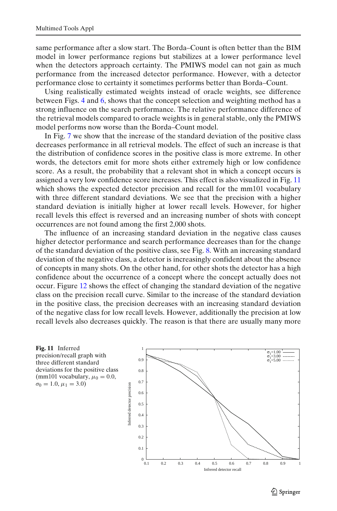<span id="page-20-0"></span>same performance after a slow start. The Borda–Count is often better than the BIM model in lower performance regions but stabilizes at a lower performance level when the detectors approach certainty. The PMIWS model can not gain as much performance from the increased detector performance. However, with a detector performance close to certainty it sometimes performs better than Borda–Count.

Using realistically estimated weights instead of oracle weights, see difference between Figs. [4](#page-13-0) and [6,](#page-15-0) shows that the concept selection and weighting method has a strong influence on the search performance. The relative performance difference of the retrieval models compared to oracle weights is in general stable, only the PMIWS model performs now worse than the Borda–Count model.

In Fig. [7](#page-17-0) we show that the increase of the standard deviation of the positive class decreases performance in all retrieval models. The effect of such an increase is that the distribution of confidence scores in the positive class is more extreme. In other words, the detectors emit for more shots either extremely high or low confidence score. As a result, the probability that a relevant shot in which a concept occurs is assigned a very low confidence score increases. This effect is also visualized in Fig. 11 which shows the expected detector precision and recall for the mm101 vocabulary with three different standard deviations. We see that the precision with a higher standard deviation is initially higher at lower recall levels. However, for higher recall levels this effect is reversed and an increasing number of shots with concept occurrences are not found among the first 2,000 shots.

The influence of an increasing standard deviation in the negative class causes higher detector performance and search performance decreases than for the change of the standard deviation of the positive class, see Fig. [8.](#page-18-0) With an increasing standard deviation of the negative class, a detector is increasingly confident about the absence of concepts in many shots. On the other hand, for other shots the detector has a high confidence about the occurrence of a concept where the concept actually does not occur. Figure [12](#page-21-0) shows the effect of changing the standard deviation of the negative class on the precision recall curve. Similar to the increase of the standard deviation in the positive class, the precision decreases with an increasing standard deviation of the negative class for low recall levels. However, additionally the precision at low recall levels also decreases quickly. The reason is that there are usually many more

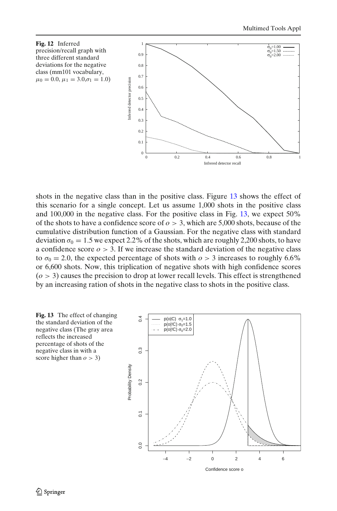<span id="page-21-0"></span>

shots in the negative class than in the positive class. Figure 13 shows the effect of this scenario for a single concept. Let us assume 1,000 shots in the positive class and 100,000 in the negative class. For the positive class in Fig. 13, we expect 50% of the shots to have a confidence score of  $\rho > 3$ , which are 5,000 shots, because of the cumulative distribution function of a Gaussian. For the negative class with standard deviation  $\sigma_0 = 1.5$  we expect 2.2% of the shots, which are roughly 2,200 shots, to have a confidence score  $o > 3$ . If we increase the standard deviation of the negative class to  $\sigma_0 = 2.0$ , the expected percentage of shots with  $\rho > 3$  increases to roughly 6.6% or 6,600 shots. Now, this triplication of negative shots with high confidence scores  $(o > 3)$  causes the precision to drop at lower recall levels. This effect is strengthened by an increasing ration of shots in the negative class to shots in the positive class.



 $\mathcal{D}$  Springer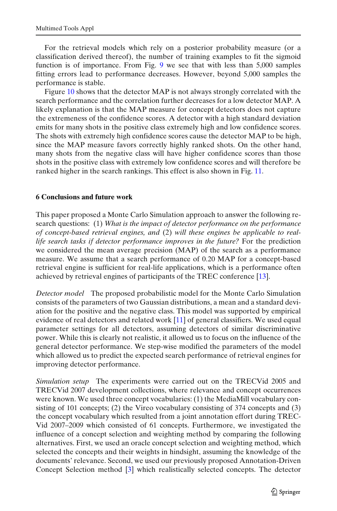<span id="page-22-0"></span>For the retrieval models which rely on a posterior probability measure (or a classification derived thereof), the number of training examples to fit the sigmoid function is of importance. From Fig. [9](#page-18-0) we see that with less than 5,000 samples fitting errors lead to performance decreases. However, beyond 5,000 samples the performance is stable.

Figure [10](#page-19-0) shows that the detector MAP is not always strongly correlated with the search performance and the correlation further decreases for a low detector MAP. A likely explanation is that the MAP measure for concept detectors does not capture the extremeness of the confidence scores. A detector with a high standard deviation emits for many shots in the positive class extremely high and low confidence scores. The shots with extremely high confidence scores cause the detector MAP to be high, since the MAP measure favors correctly highly ranked shots. On the other hand, many shots from the negative class will have higher confidence scores than those shots in the positive class with extremely low confidence scores and will therefore be ranked higher in the search rankings. This effect is also shown in Fig. [11.](#page-20-0)

### **6 Conclusions and future work**

This paper proposed a Monte Carlo Simulation approach to answer the following research questions: (1) *What is the impact of detector performance on the performance of concept-based retrieval engines, and* (2) *will these engines be applicable to reallife search tasks if detector performance improves in the future?* For the prediction we considered the mean average precision (MAP) of the search as a performance measure. We assume that a search performance of 0.20 MAP for a concept-based retrieval engine is sufficient for real-life applications, which is a performance often achieved by retrieval engines of participants of the TREC conference [\[13](#page-25-0)].

*Detector model* The proposed probabilistic model for the Monte Carlo Simulation consists of the parameters of two Gaussian distributions, a mean and a standard deviation for the positive and the negative class. This model was supported by empirical evidence of real detectors and related work  $[11]$  $[11]$  of general classifiers. We used equal parameter settings for all detectors, assuming detectors of similar discriminative power. While this is clearly not realistic, it allowed us to focus on the influence of the general detector performance. We step-wise modified the parameters of the model which allowed us to predict the expected search performance of retrieval engines for improving detector performance.

*Simulation setup* The experiments were carried out on the TRECVid 2005 and TRECVid 2007 development collections, where relevance and concept occurrences were known. We used three concept vocabularies: (1) the MediaMill vocabulary consisting of 101 concepts; (2) the Vireo vocabulary consisting of 374 concepts and (3) the concept vocabulary which resulted from a joint annotation effort during TREC-Vid 2007–2009 which consisted of 61 concepts. Furthermore, we investigated the influence of a concept selection and weighting method by comparing the following alternatives. First, we used an oracle concept selection and weighting method, which selected the concepts and their weights in hindsight, assuming the knowledge of the documents' relevance. Second, we used our previously proposed Annotation-Driven Concept Selection method [\[3](#page-24-0)] which realistically selected concepts. The detector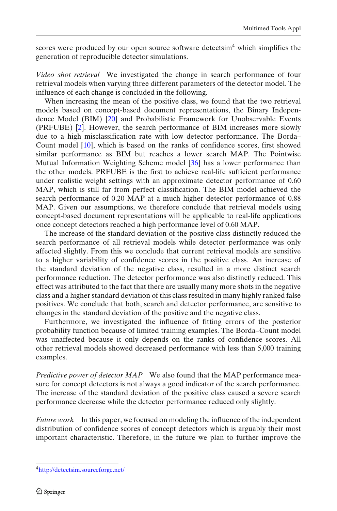scores were produced by our open source software detectsim<sup>4</sup> which simplifies the generation of reproducible detector simulations.

*Video shot retrieval* We investigated the change in search performance of four retrieval models when varying three different parameters of the detector model. The influence of each change is concluded in the following.

When increasing the mean of the positive class, we found that the two retrieval models based on concept-based document representations, the Binary Independence Model (BIM) [\[20](#page-25-0)] and Probabilistic Framework for Unobservable Events (PRFUBE) [\[2\]](#page-24-0). However, the search performance of BIM increases more slowly due to a high misclassification rate with low detector performance. The Borda– Count model [\[10](#page-25-0)], which is based on the ranks of confidence scores, first showed similar performance as BIM but reaches a lower search MAP. The Pointwise Mutual Information Weighting Scheme model [\[36](#page-26-0)] has a lower performance than the other models. PRFUBE is the first to achieve real-life sufficient performance under realistic weight settings with an approximate detector performance of 0.60 MAP, which is still far from perfect classification. The BIM model achieved the search performance of 0.20 MAP at a much higher detector performance of 0.88 MAP. Given our assumptions, we therefore conclude that retrieval models using concept-based document representations will be applicable to real-life applications once concept detectors reached a high performance level of 0.60 MAP.

The increase of the standard deviation of the positive class distinctly reduced the search performance of all retrieval models while detector performance was only affected slightly. From this we conclude that current retrieval models are sensitive to a higher variability of confidence scores in the positive class. An increase of the standard deviation of the negative class, resulted in a more distinct search performance reduction. The detector performance was also distinctly reduced. This effect was attributed to the fact that there are usually many more shots in the negative class and a higher standard deviation of this class resulted in many highly ranked false positives. We conclude that both, search and detector performance, are sensitive to changes in the standard deviation of the positive and the negative class.

Furthermore, we investigated the influence of fitting errors of the posterior probability function because of limited training examples. The Borda–Count model was unaffected because it only depends on the ranks of confidence scores. All other retrieval models showed decreased performance with less than 5,000 training examples.

*Predictive power of detector MAP* We also found that the MAP performance measure for concept detectors is not always a good indicator of the search performance. The increase of the standard deviation of the positive class caused a severe search performance decrease while the detector performance reduced only slightly.

*Future work* In this paper, we focused on modeling the influence of the independent distribution of confidence scores of concept detectors which is arguably their most important characteristic. Therefore, in the future we plan to further improve the

[<sup>4</sup>http://detectsim.sourceforge.net/](http://detectsim.sourceforge.net/)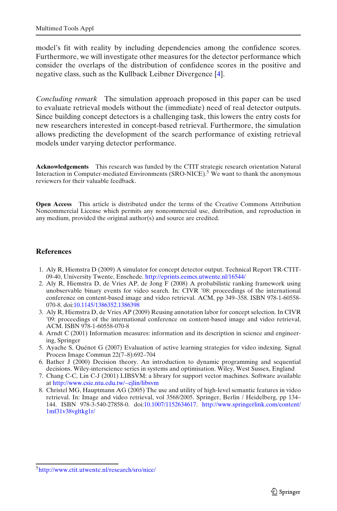<span id="page-24-0"></span>model's fit with reality by including dependencies among the confidence scores. Furthermore, we will investigate other measures for the detector performance which consider the overlaps of the distribution of confidence scores in the positive and negative class, such as the Kullback Leibner Divergence [4].

*Concluding remark* The simulation approach proposed in this paper can be used to evaluate retrieval models without the (immediate) need of real detector outputs. Since building concept detectors is a challenging task, this lowers the entry costs for new researchers interested in concept-based retrieval. Furthermore, the simulation allows predicting the development of the search performance of existing retrieval models under varying detector performance.

**Acknowledgements** This research was funded by the CTIT strategic research orientation Natural Interaction in Computer-mediated Environments  $(SRO-NICE)$ .<sup>5</sup> We want to thank the anonymous reviewers for their valuable feedback.

**Open Access** This article is distributed under the terms of the Creative Commons Attribution Noncommercial License which permits any noncommercial use, distribution, and reproduction in any medium, provided the original author(s) and source are credited.

# **References**

- 1. Aly R, Hiemstra D (2009) A simulator for concept detector output. Technical Report TR-CTIT-09-40, University Twente, Enschede. <http://eprints.eemcs.utwente.nl/16544/>
- 2. Aly R, Hiemstra D, de Vries AP, de Jong F (2008) A probabilistic ranking framework using unobservable binary events for video search. In: CIVR '08: proceedings of the international conference on content-based image and video retrieval. ACM, pp 349–358. ISBN 978-1-60558- 070-8. doi[:10.1145/1386352.1386398](http://dx.doi.org/http://doi.acm.org/10.1145/1386352.1386398)
- 3. Aly R, Hiemstra D, de Vries AP (2009) Reusing annotation labor for concept selection. In CIVR '09: proceedings of the international conference on content-based image and video retrieval, ACM. ISBN 978-1-60558-070-8
- 4. Arndt C (2001) Information measures: information and its description in science and engineering, Springer
- 5. Ayache S, Quénot G (2007) Evaluation of active learning strategies for video indexing. Signal Process Image Commun 22(7–8):692–704
- 6. Bather J (2000) Decision theory. An introduction to dynamic programming and sequential decisions. Wiley-interscience series in systems and optimisation. Wiley, West Sussex, England
- 7. Chang C-C, Lin C-J (2001) LIBSVM: a library for support vector machines. Software available at <http://www.csie.ntu.edu.tw/~cjlin/libsvm>
- 8. Christel MG, Hauptmann AG (2005) The use and utility of high-level semantic features in video retrieval. In: Image and video retrieval, vol 3568/2005. Springer, Berlin / Heidelberg, pp 134– 144. ISBN 978-3-540-27858-0. doi[:10.1007/1152634617.](http://dx.doi.org/10.1007/11526346) [http://www.springerlink.com/content/](http://www.springerlink.com/content/1mf31v38vgltkg1r/) [1mf31v38vgltkg1r/](http://www.springerlink.com/content/1mf31v38vgltkg1r/)

[<sup>5</sup>http://www.ctit.utwente.nl/research/sro/nice/](http://www.ctit.utwente.nl/research/sro/nice/)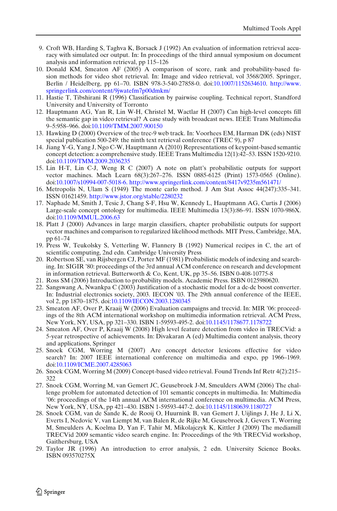- <span id="page-25-0"></span>9. Croft WB, Harding S, Taghva K, Borsack J (1992) An evaluation of information retrieval accuracy with simulated ocr output. In: In proceedings of the third annual symposium on document analysis and information retrieval, pp 115–126
- 10. Donald KM, Smeaton AF (2005) A comparison of score, rank and probability-based fusion methods for video shot retrieval. In: Image and video retrieval, vol 3568/2005. Springer, Berlin / Heidelberg, pp 61–70. ISBN 978-3-540-27858-0. doi[:10.1007/1152634610.](http://dx.doi.org/10.1007/11526346) [http://www.](http://www.springerlink.com/content/9jwatefm7p00dmkm/) [springerlink.com/content/9jwatefm7p00dmkm/](http://www.springerlink.com/content/9jwatefm7p00dmkm/)
- 11. Hastie T, Tibshirani R (1996) Classification by pairwise coupling. Technical report, Standford University and University of Torronto
- 12. Hauptmann AG, Yan R, Lin W-H, Christel M, Wactlar H (2007) Can high-level concepts fill the semantic gap in video retrieval? A case study with broadcast news. IEEE Trans Multimedia 9–5:958–966. doi[:10.1109/TMM.2007.900150](http://dx.doi.org/10.1109/TMM.2007.900150)
- 13. Hawking D (2000) Overview of the trec-9 web track. In: Voorhees EM, Harman DK (eds) NIST special publication 500-249: the ninth text retrieval conference (TREC 9), p 87
- 14. Jiang Y-G, Yang J, Ngo C-W, Hauptmann A (2010) Representations of keypoint-based semantic concept detection: a comprehensive study. IEEE Trans Multimedia 12(1):42–53. ISSN 1520-9210. doi[:10.1109/TMM.2009.2036235](http://dx.doi.org/10.1109/TMM.2009.2036235)
- 15. Lin H-T, Lin C-J, Weng R C (2007) A note on platt's probabilistic outputs for support vector machines. Mach Learn 68(3):267–276. ISSN 0885-6125 (Print) 1573-0565 (Online). doi[:10.1007/s10994-007-5018-6.](http://dx.doi.org/10.1007/s10994-007-5018-6.)<http://www.springerlink.com/content/8417v9235m561471/>
- 16. Metropolis N, Ulam S (1949) The monte carlo method. J Am Stat Assoc 44(247):335–341. ISSN 01621459. <http://www.jstor.org/stable/2280232>
- 17. Naphade M, Smith J, Tesic J, Chang S-F, Hsu W, Kennedy L, Hauptmann AG, Curtis J (2006) Large-scale concept ontology for multimedia. IEEE Multimedia 13(3):86–91. ISSN 1070-986X. doi[:10.1109/MMUL.2006.63](http://dx.doi.org/10.1109/MMUL.2006.63)
- 18. Platt J (2000) Advances in large margin classifiers, chapter probabilistic outputs for support vector machines and comparison to regularized likelihood methods. MIT Press, Cambridge, MA, pp 61–74
- 19. Press W, Teukolsky S, Vetterling W, Flannery B (1992) Numerical recipes in C, the art of scientific computing, 2nd edn. Cambridge University Press
- 20. Robertson SE, van Rijsbergen CJ, Porter MF (1981) Probabilistic models of indexing and searching. In: SIGIR '80: proceedings of the 3rd annual ACM conference on research and development in information retrieval. Butterworth & Co, Kent, UK, pp 35–56. ISBN 0-408-10775-8
- 21. Ross SM (2006) Introduction to probability models. Academic Press. ISBN 0125980620.
- 22. Sangswang A, Nwankpa C (2003) Justification of a stochastic model for a dc-dc boost converter. In: Industrial electronics society, 2003. IECON '03. The 29th annual conference of the IEEE, vol 2, pp 1870–1875. doi[:10.1109/IECON.2003.1280345](http://dx.doi.org/10.1109/IECON.2003.1280345)
- 23. Smeaton AF, Over P, Kraaij W (2006) Evaluation campaigns and trecvid. In: MIR '06: proceedings of the 8th ACM international workshop on multimedia information retrieval. ACM Press, New York, NY, USA, pp 321–330. ISBN 1-59593-495-2. doi[:10.1145/1178677.1178722](http://dx.doi.org/http://doi.acm.org/10.1145/1178677.1178722)
- 24. Smeaton AF, Over P, Kraaij W (2008) High level feature detection from video in TRECVid: a 5-year retrospective of achievements. In: Divakaran A (ed) Multimedia content analysis, theory and applications, Springer
- 25. Snoek CGM, Worring M (2007) Are concept detector lexicons effective for video search? In: 2007 IEEE international conference on multimedia and expo, pp 1966–1969. doi[:10.1109/ICME.2007.4285063](http://dx.doi.org/10.1109/ICME.2007.4285063)
- 26. Snoek CGM, Worring M (2009) Concept-based video retrieval. Found Trends Inf Retr 4(2):215– 322
- 27. Snoek CGM, Worring M, van Gemert JC, Geusebroek J-M, Smeulders AWM (2006) The challenge problem for automated detection of 101 semantic concepts in multimedia. In: Multimedia '06: proceedings of the 14th annual ACM international conference on multimedia. ACM Press, New York, NY, USA, pp 421–430. ISBN 1-59593-447-2. doi[:10.1145/1180639.1180727](http://dx.doi.org/http://doi.acm.org/10.1145/1180639.1180727)
- 28. Snoek CGM, van de Sande K, de Rooij O, Huurnink B, van Gemert J, Uijlings J, He J, Li X, Everts I, Nedovic V, van Liempt M, van Balen R, de Rijke M, Geusebroek J, Gevers T, Worring M, Smeulders A, Koelma D, Yan F, Tahir M, Mikolajczyk K, Kittler J (2009) The mediamill TRECVid 2009 semantic video search engine. In: Proceedings of the 9th TRECVid workshop, Gaithersburg, USA
- 29. Taylor JR (1996) An introduction to error analysis, 2 edn. University Science Books. ISBN 093570275X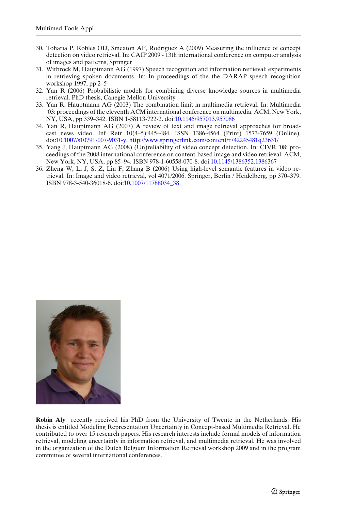- <span id="page-26-0"></span>30. Toharia P, Robles OD, Smeaton AF, Rodríguez A (2009) Measuring the influence of concept detection on video retrieval. In: CAIP 2009 - 13th international conference on computer analysis of images and patterns, Springer
- 31. Witbrock M, Hauptmann AG (1997) Speech recognition and information retrieval: experiments in retrieving spoken documents. In: In proceedings of the the DARAP speech recognition workshop 1997, pp 2–5
- 32. Yan R (2006) Probabilistic models for combining diverse knowledge sources in multimedia retrieval. PhD thesis, Canegie Mellon University
- 33. Yan R, Hauptmann AG (2003) The combination limit in multimedia retrieval. In: Multimedia '03: proceedings of the eleventh ACM international conference on multimedia. ACM, New York, NY, USA, pp 339–342. ISBN 1-58113-722-2. doi[:10.1145/957013.957086](http://dx.doi.org/http://doi.acm.org/10.1145/957013.957086)
- 34. Yan R, Hauptmann AG (2007) A review of text and image retrieval approaches for broadcast news video. Inf Retr 10(4–5):445–484. ISSN 1386-4564 (Print) 1573-7659 (Online). doi[:10.1007/s10791-007-9031-y.](http://dx.doi.org/10.1007/s10791-007-9031-y.)<http://www.springerlink.com/content/r742245481q23631/>
- 35. Yang J, Hauptmann AG (2008) (Un)reliability of video concept detection. In: CIVR '08: proceedings of the 2008 international conference on content-based image and video retrieval. ACM, New York, NY, USA, pp 85–94. ISBN 978-1-60558-070-8. doi[:10.1145/1386352.1386367](http://dx.doi.org/http://doi.acm.org/10.1145/1386352.1386367)
- 36. Zheng W, Li J, S, Z, Lin F, Zhang B (2006) Using high-level semantic features in video retrieval. In: Image and video retrieval, vol 4071/2006. Springer, Berlin / Heidelberg, pp 370–379. ISBN 978-3-540-36018-6. doi[:10.1007/11788034\\_38](http://dx.doi.org/10.1007/11788034_38)



**Robin Aly** recently received his PhD from the University of Twente in the Netherlands. His thesis is entitled Modeling Representation Uncertainty in Concept-based Multimedia Retrieval. He contributed to over 15 research papers. His research interests include formal models of information retrieval, modeling uncertainty in information retrieval, and multimedia retrieval. He was involved in the organization of the Dutch Belgium Information Retrieval workshop 2009 and in the program committee of several international conferences.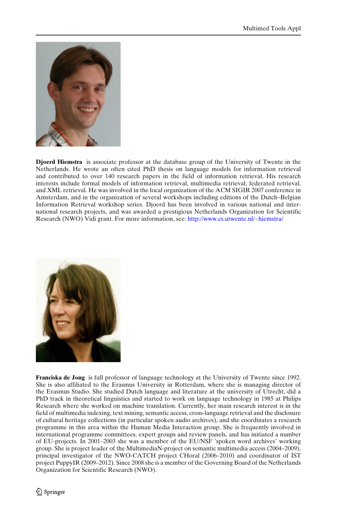

**Djoerd Hiemstra** is associate professor at the database group of the University of Twente in the Netherlands. He wrote an often cited PhD thesis on language models for information retrieval and contributed to over 140 research papers in the field of information retrieval. His research interests include formal models of information retrieval, multimedia retrieval, federated retrieval, and XML retrieval. He was involved in the local organization of the ACM SIGIR 2007 conference in Amsterdam, and in the organization of several workshops including editions of the Dutch–Belgian Information Retrieval workshop series. Djoerd has been involved in various national and international research projects, and was awarded a prestigious Netherlands Organization for Scientific Research (NWO) Vidi grant. For more information, see: <http://www.cs.utwente.nl/~hiemstra/>



**Franciska de Jong** is full professor of language technology at the University of Twente since 1992. She is also affiliated to the Erasmus University in Rotterdam, where she is managing director of the Erasmus Studio. She studied Dutch language and literature at the university of Utrecht, did a PhD track in theoretical linguistics and started to work on language technology in 1985 at Philips Research where she worked on machine translation. Currently, her main research interest is in the field of multimedia indexing, text mining, semantic access, cross-language retrieval and the disclosure of cultural heritage collections (in particular spoken audio archives), and she coordinates a research programme in this area within the Human Media Interaction group. She is frequently involved in international programme committees, expert groups and review panels, and has initiated a number of EU-projects. In 2001–2003 she was a member of the EU/NSF 'spoken word archives' working group. She is project leader of the MultimediaN-project on semantic multimedia access (2004–2009), principal investigator of the NWO-CATCH project CHoral (2006–2010) and coordinator of IST project PuppyIR (2009–2012). Since 2008 she is a member of the Governing Board of the Netherlands Organization for Scientific Research (NWO).